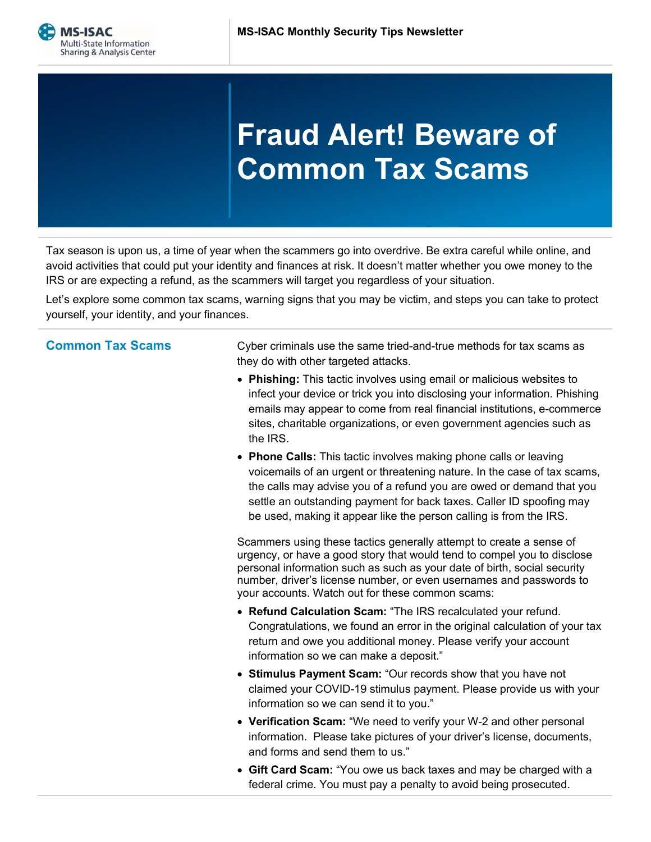## **Fraud Alert! Beware of Common Tax Scams**

Tax season is upon us, a time of year when the scammers go into overdrive. Be extra careful while online, and avoid activities that could put your identity and finances at risk. It doesn't matter whether you owe money to the IRS or are expecting a refund, as the scammers will target you regardless of your situation.

Let's explore some common tax scams, warning signs that you may be victim, and steps you can take to protect yourself, your identity, and your finances.

**Common Tax Scams** Cyber criminals use the same tried-and-true methods for tax scams as they do with other targeted attacks.

- **Phishing:** This tactic involves using email or malicious websites to infect your device or trick you into disclosing your information. Phishing emails may appear to come from real financial institutions, e-commerce sites, charitable organizations, or even government agencies such as the IRS.
- **Phone Calls:** This tactic involves making phone calls or leaving voicemails of an urgent or threatening nature. In the case of tax scams, the calls may advise you of a refund you are owed or demand that you settle an outstanding payment for back taxes. Caller ID spoofing may be used, making it appear like the person calling is from the IRS.

Scammers using these tactics generally attempt to create a sense of urgency, or have a good story that would tend to compel you to disclose personal information such as such as your date of birth, social security number, driver's license number, or even usernames and passwords to your accounts. Watch out for these common scams:

- **Refund Calculation Scam:** "The IRS recalculated your refund. Congratulations, we found an error in the original calculation of your tax return and owe you additional money. Please verify your account information so we can make a deposit."
- **Stimulus Payment Scam:** "Our records show that you have not claimed your COVID-19 stimulus payment. Please provide us with your information so we can send it to you."
- **Verification Scam:** "We need to verify your W-2 and other personal information. Please take pictures of your driver's license, documents, and forms and send them to us."
- **Gift Card Scam:** "You owe us back taxes and may be charged with a federal crime. You must pay a penalty to avoid being prosecuted.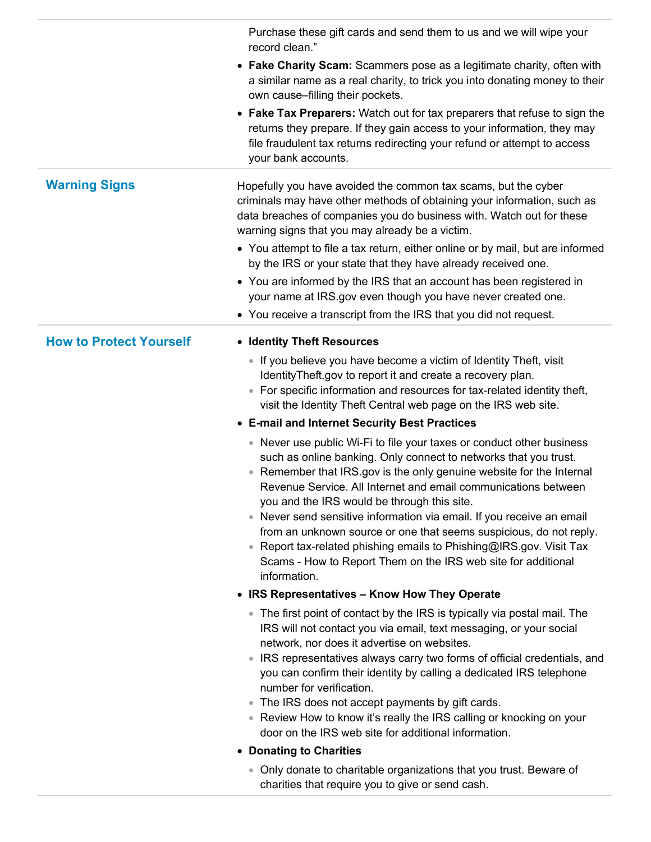|                                | Purchase these gift cards and send them to us and we will wipe your<br>record clean."<br>• Fake Charity Scam: Scammers pose as a legitimate charity, often with<br>a similar name as a real charity, to trick you into donating money to their<br>own cause-filling their pockets.<br>• Fake Tax Preparers: Watch out for tax preparers that refuse to sign the<br>returns they prepare. If they gain access to your information, they may<br>file fraudulent tax returns redirecting your refund or attempt to access<br>your bank accounts.                                                                                                                                                                                                                                                                                                                                                                                                                                                                                                                                                                                                                                                                                                                                                                                                                                                                                                                                                                                                                                                                                                                                                                                                                                        |
|--------------------------------|--------------------------------------------------------------------------------------------------------------------------------------------------------------------------------------------------------------------------------------------------------------------------------------------------------------------------------------------------------------------------------------------------------------------------------------------------------------------------------------------------------------------------------------------------------------------------------------------------------------------------------------------------------------------------------------------------------------------------------------------------------------------------------------------------------------------------------------------------------------------------------------------------------------------------------------------------------------------------------------------------------------------------------------------------------------------------------------------------------------------------------------------------------------------------------------------------------------------------------------------------------------------------------------------------------------------------------------------------------------------------------------------------------------------------------------------------------------------------------------------------------------------------------------------------------------------------------------------------------------------------------------------------------------------------------------------------------------------------------------------------------------------------------------|
| <b>Warning Signs</b>           | Hopefully you have avoided the common tax scams, but the cyber<br>criminals may have other methods of obtaining your information, such as<br>data breaches of companies you do business with. Watch out for these<br>warning signs that you may already be a victim.<br>• You attempt to file a tax return, either online or by mail, but are informed<br>by the IRS or your state that they have already received one.<br>• You are informed by the IRS that an account has been registered in<br>your name at IRS.gov even though you have never created one.<br>• You receive a transcript from the IRS that you did not request.                                                                                                                                                                                                                                                                                                                                                                                                                                                                                                                                                                                                                                                                                                                                                                                                                                                                                                                                                                                                                                                                                                                                                 |
| <b>How to Protect Yourself</b> | • Identity Theft Resources<br>• If you believe you have become a victim of Identity Theft, visit<br>IdentityTheft.gov to report it and create a recovery plan.<br>• For specific information and resources for tax-related identity theft,<br>visit the Identity Theft Central web page on the IRS web site.<br>• E-mail and Internet Security Best Practices<br>• Never use public Wi-Fi to file your taxes or conduct other business<br>such as online banking. Only connect to networks that you trust.<br>Remember that IRS.gov is the only genuine website for the Internal<br>Revenue Service. All Internet and email communications between<br>you and the IRS would be through this site.<br>• Never send sensitive information via email. If you receive an email<br>from an unknown source or one that seems suspicious, do not reply.<br>• Report tax-related phishing emails to Phishing@IRS.gov. Visit Tax<br>Scams - How to Report Them on the IRS web site for additional<br>information.<br>• IRS Representatives - Know How They Operate<br>• The first point of contact by the IRS is typically via postal mail. The<br>IRS will not contact you via email, text messaging, or your social<br>network, nor does it advertise on websites.<br>• IRS representatives always carry two forms of official credentials, and<br>you can confirm their identity by calling a dedicated IRS telephone<br>number for verification.<br>The IRS does not accept payments by gift cards.<br>• Review How to know it's really the IRS calling or knocking on your<br>door on the IRS web site for additional information.<br>• Donating to Charities<br>• Only donate to charitable organizations that you trust. Beware of<br>charities that require you to give or send cash. |